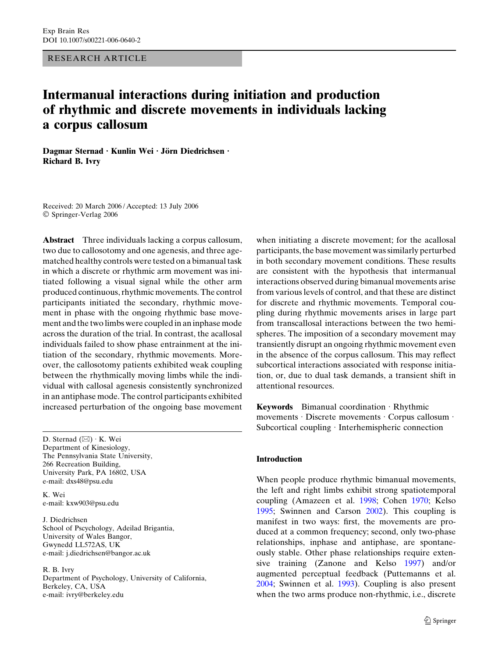RESEARCH ARTICLE

# Intermanual interactions during initiation and production of rhythmic and discrete movements in individuals lacking a corpus callosum

Dagmar Sternad · Kunlin Wei · Jörn Diedrichsen · Richard B. Ivry

Received: 20 March 2006 / Accepted: 13 July 2006  $©$  Springer-Verlag 2006

Abstract Three individuals lacking a corpus callosum, two due to callosotomy and one agenesis, and three agematched healthy controls were tested on a bimanual task in which a discrete or rhythmic arm movement was initiated following a visual signal while the other arm produced continuous, rhythmic movements. The control participants initiated the secondary, rhythmic movement in phase with the ongoing rhythmic base movement and the two limbs were coupled in an inphase mode across the duration of the trial. In contrast, the acallosal individuals failed to show phase entrainment at the initiation of the secondary, rhythmic movements. Moreover, the callosotomy patients exhibited weak coupling between the rhythmically moving limbs while the individual with callosal agenesis consistently synchronized in an antiphase mode. The control participants exhibited increased perturbation of the ongoing base movement

D. Sternad  $(\boxtimes) \cdot$  K. Wei Department of Kinesiology, The Pennsylvania State University, 266 Recreation Building, University Park, PA 16802, USA e-mail: dxs48@psu.edu

K. Wei e-mail: kxw903@psu.edu

J. Diedrichsen School of Pscychology, Adeilad Brigantia, University of Wales Bangor, Gwynedd LL572AS, UK e-mail: j.diedrichsen@bangor.ac.uk

#### R. B. Ivry

Department of Psychology, University of California, Berkeley, CA, USA e-mail: ivry@berkeley.edu

when initiating a discrete movement; for the acallosal participants, the base movement was similarly perturbed in both secondary movement conditions. These results are consistent with the hypothesis that intermanual interactions observed during bimanual movements arise from various levels of control, and that these are distinct for discrete and rhythmic movements. Temporal coupling during rhythmic movements arises in large part from transcallosal interactions between the two hemispheres. The imposition of a secondary movement may transiently disrupt an ongoing rhythmic movement even in the absence of the corpus callosum. This may reflect subcortical interactions associated with response initiation, or, due to dual task demands, a transient shift in attentional resources.

Keywords Bimanual coordination  $\cdot$  Rhythmic movements · Discrete movements · Corpus callosum · Subcortical coupling  $\cdot$  Interhemispheric connection

# Introduction

When people produce rhythmic bimanual movements, the left and right limbs exhibit strong spatiotemporal coupling (Amazeen et al. [1998](#page-14-0); Cohen [1970](#page-14-0); Kelso [1995](#page-15-0); Swinnen and Carson [2002\)](#page-15-0). This coupling is manifest in two ways: first, the movements are produced at a common frequency; second, only two-phase relationships, inphase and antiphase, are spontaneously stable. Other phase relationships require extensive training (Zanone and Kelso [1997\)](#page-15-0) and/or augmented perceptual feedback (Puttemanns et al. [2004](#page-15-0); Swinnen et al. [1993](#page-15-0)). Coupling is also present when the two arms produce non-rhythmic, i.e., discrete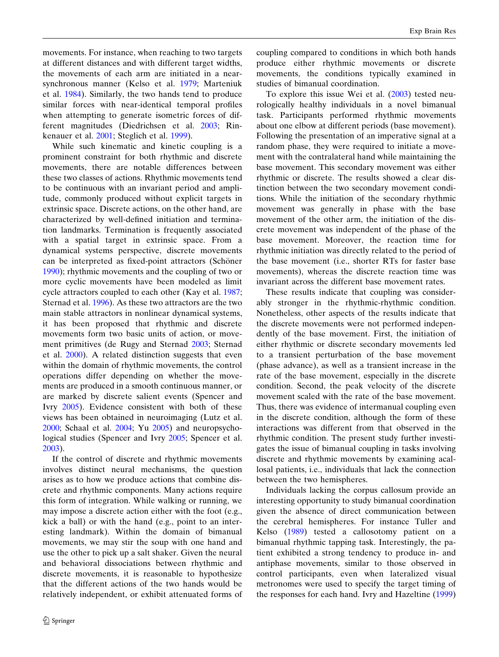movements. For instance, when reaching to two targets at different distances and with different target widths, the movements of each arm are initiated in a nearsynchronous manner (Kelso et al. [1979;](#page-15-0) Marteniuk et al. [1984\)](#page-15-0). Similarly, the two hands tend to produce similar forces with near-identical temporal profiles when attempting to generate isometric forces of different magnitudes (Diedrichsen et al. [2003;](#page-15-0) Rinkenauer et al. [2001;](#page-15-0) Steglich et al. [1999\)](#page-15-0).

While such kinematic and kinetic coupling is a prominent constraint for both rhythmic and discrete movements, there are notable differences between these two classes of actions. Rhythmic movements tend to be continuous with an invariant period and amplitude, commonly produced without explicit targets in extrinsic space. Discrete actions, on the other hand, are characterized by well-defined initiation and termination landmarks. Termination is frequently associated with a spatial target in extrinsic space. From a dynamical systems perspective, discrete movements can be interpreted as fixed-point attractors (Schöner [1990\)](#page-15-0); rhythmic movements and the coupling of two or more cyclic movements have been modeled as limit cycle attractors coupled to each other (Kay et al. [1987;](#page-15-0) Sternad et al. [1996](#page-15-0)). As these two attractors are the two main stable attractors in nonlinear dynamical systems, it has been proposed that rhythmic and discrete movements form two basic units of action, or movement primitives (de Rugy and Sternad [2003;](#page-14-0) Sternad et al. [2000\)](#page-15-0). A related distinction suggests that even within the domain of rhythmic movements, the control operations differ depending on whether the movements are produced in a smooth continuous manner, or are marked by discrete salient events (Spencer and Ivry [2005](#page-15-0)). Evidence consistent with both of these views has been obtained in neuroimaging (Lutz et al. [2000;](#page-15-0) Schaal et al. [2004;](#page-15-0) Yu [2005](#page-15-0)) and neuropsychological studies (Spencer and Ivry [2005](#page-15-0); Spencer et al. [2003\)](#page-15-0).

If the control of discrete and rhythmic movements involves distinct neural mechanisms, the question arises as to how we produce actions that combine discrete and rhythmic components. Many actions require this form of integration. While walking or running, we may impose a discrete action either with the foot (e.g., kick a ball) or with the hand (e.g., point to an interesting landmark). Within the domain of bimanual movements, we may stir the soup with one hand and use the other to pick up a salt shaker. Given the neural and behavioral dissociations between rhythmic and discrete movements, it is reasonable to hypothesize that the different actions of the two hands would be relatively independent, or exhibit attenuated forms of coupling compared to conditions in which both hands produce either rhythmic movements or discrete movements, the conditions typically examined in studies of bimanual coordination.

To explore this issue Wei et al. [\(2003](#page-15-0)) tested neurologically healthy individuals in a novel bimanual task. Participants performed rhythmic movements about one elbow at different periods (base movement). Following the presentation of an imperative signal at a random phase, they were required to initiate a movement with the contralateral hand while maintaining the base movement. This secondary movement was either rhythmic or discrete. The results showed a clear distinction between the two secondary movement conditions. While the initiation of the secondary rhythmic movement was generally in phase with the base movement of the other arm, the initiation of the discrete movement was independent of the phase of the base movement. Moreover, the reaction time for rhythmic initiation was directly related to the period of the base movement (i.e., shorter RTs for faster base movements), whereas the discrete reaction time was invariant across the different base movement rates.

These results indicate that coupling was considerably stronger in the rhythmic-rhythmic condition. Nonetheless, other aspects of the results indicate that the discrete movements were not performed independently of the base movement. First, the initiation of either rhythmic or discrete secondary movements led to a transient perturbation of the base movement (phase advance), as well as a transient increase in the rate of the base movement, especially in the discrete condition. Second, the peak velocity of the discrete movement scaled with the rate of the base movement. Thus, there was evidence of intermanual coupling even in the discrete condition, although the form of these interactions was different from that observed in the rhythmic condition. The present study further investigates the issue of bimanual coupling in tasks involving discrete and rhythmic movements by examining acallosal patients, i.e., individuals that lack the connection between the two hemispheres.

Individuals lacking the corpus callosum provide an interesting opportunity to study bimanual coordination given the absence of direct communication between the cerebral hemispheres. For instance Tuller and Kelso ([1989\)](#page-15-0) tested a callosotomy patient on a bimanual rhythmic tapping task. Interestingly, the patient exhibited a strong tendency to produce in- and antiphase movements, similar to those observed in control participants, even when lateralized visual metronomes were used to specify the target timing of the responses for each hand. Ivry and Hazeltine [\(1999](#page-15-0))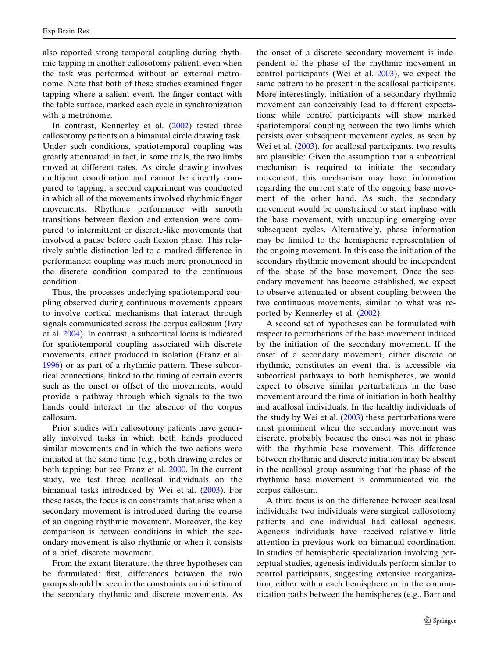also reported strong temporal coupling during rhythmic tapping in another callosotomy patient, even when the task was performed without an external metronome. Note that both of these studies examined finger tapping where a salient event, the finger contact with the table surface, marked each cycle in synchronization with a metronome.

In contrast, Kennerley et al. [\(2002](#page-15-0)) tested three callosotomy patients on a bimanual circle drawing task. Under such conditions, spatiotemporal coupling was greatly attenuated; in fact, in some trials, the two limbs moved at different rates. As circle drawing involves multijoint coordination and cannot be directly compared to tapping, a second experiment was conducted in which all of the movements involved rhythmic finger movements. Rhythmic performance with smooth transitions between flexion and extension were compared to intermittent or discrete-like movements that involved a pause before each flexion phase. This relatively subtle distinction led to a marked difference in performance: coupling was much more pronounced in the discrete condition compared to the continuous condition.

Thus, the processes underlying spatiotemporal coupling observed during continuous movements appears to involve cortical mechanisms that interact through signals communicated across the corpus callosum (Ivry et al. [2004](#page-15-0)). In contrast, a subcortical locus is indicated for spatiotemporal coupling associated with discrete movements, either produced in isolation (Franz et al. [1996\)](#page-15-0) or as part of a rhythmic pattern. These subcortical connections, linked to the timing of certain events such as the onset or offset of the movements, would provide a pathway through which signals to the two hands could interact in the absence of the corpus callosum.

Prior studies with callosotomy patients have generally involved tasks in which both hands produced similar movements and in which the two actions were initiated at the same time (e.g., both drawing circles or both tapping; but see Franz et al. [2000.](#page-15-0) In the current study, we test three acallosal individuals on the bimanual tasks introduced by Wei et al. ([2003\)](#page-15-0). For these tasks, the focus is on constraints that arise when a secondary movement is introduced during the course of an ongoing rhythmic movement. Moreover, the key comparison is between conditions in which the secondary movement is also rhythmic or when it consists of a brief, discrete movement.

From the extant literature, the three hypotheses can be formulated: first, differences between the two groups should be seen in the constraints on initiation of the secondary rhythmic and discrete movements. As the onset of a discrete secondary movement is independent of the phase of the rhythmic movement in control participants (Wei et al. [2003](#page-15-0)), we expect the same pattern to be present in the acallosal participants. More interestingly, initiation of a secondary rhythmic movement can conceivably lead to different expectations: while control participants will show marked spatiotemporal coupling between the two limbs which persists over subsequent movement cycles, as seen by Wei et al. [\(2003](#page-15-0)), for acallosal participants, two results are plausible: Given the assumption that a subcortical mechanism is required to initiate the secondary movement, this mechanism may have information regarding the current state of the ongoing base movement of the other hand. As such, the secondary movement would be constrained to start inphase with the base movement, with uncoupling emerging over subsequent cycles. Alternatively, phase information may be limited to the hemispheric representation of the ongoing movement. In this case the initiation of the secondary rhythmic movement should be independent of the phase of the base movement. Once the secondary movement has become established, we expect to observe attenuated or absent coupling between the two continuous movements, similar to what was reported by Kennerley et al. ([2002\)](#page-15-0).

A second set of hypotheses can be formulated with respect to perturbations of the base movement induced by the initiation of the secondary movement. If the onset of a secondary movement, either discrete or rhythmic, constitutes an event that is accessible via subcortical pathways to both hemispheres, we would expect to observe similar perturbations in the base movement around the time of initiation in both healthy and acallosal individuals. In the healthy individuals of the study by Wei et al.  $(2003)$  $(2003)$  these perturbations were most prominent when the secondary movement was discrete, probably because the onset was not in phase with the rhythmic base movement. This difference between rhythmic and discrete initiation may be absent in the acallosal group assuming that the phase of the rhythmic base movement is communicated via the corpus callosum.

A third focus is on the difference between acallosal individuals: two individuals were surgical callosotomy patients and one individual had callosal agenesis. Agenesis individuals have received relatively little attention in previous work on bimanual coordination. In studies of hemispheric specialization involving perceptual studies, agenesis individuals perform similar to control participants, suggesting extensive reorganization, either within each hemisphere or in the communication paths between the hemispheres (e.g., Barr and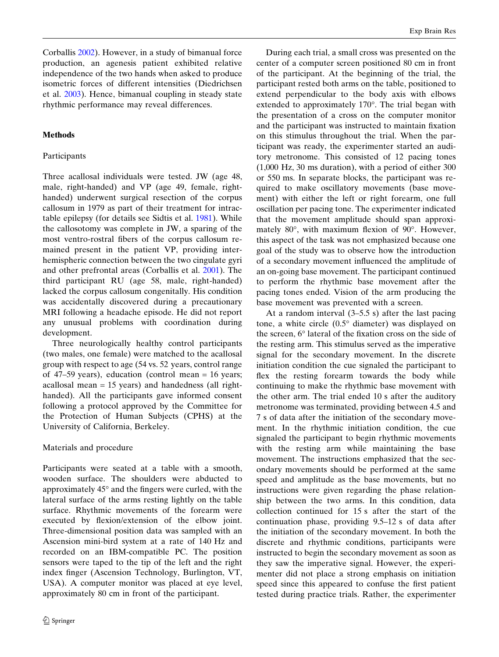Corballis [2002](#page-14-0)). However, in a study of bimanual force production, an agenesis patient exhibited relative independence of the two hands when asked to produce isometric forces of different intensities (Diedrichsen et al. [2003\)](#page-15-0). Hence, bimanual coupling in steady state rhythmic performance may reveal differences.

# Methods

# Participants

Three acallosal individuals were tested. JW (age 48, male, right-handed) and VP (age 49, female, righthanded) underwent surgical resection of the corpus callosum in 1979 as part of their treatment for intractable epilepsy (for details see Sidtis et al. [1981\)](#page-15-0). While the callosotomy was complete in JW, a sparing of the most ventro-rostral fibers of the corpus callosum remained present in the patient VP, providing interhemispheric connection between the two cingulate gyri and other prefrontal areas (Corballis et al. [2001](#page-14-0)). The third participant RU (age 58, male, right-handed) lacked the corpus callosum congenitally. His condition was accidentally discovered during a precautionary MRI following a headache episode. He did not report any unusual problems with coordination during development.

Three neurologically healthy control participants (two males, one female) were matched to the acallosal group with respect to age (54 vs. 52 years, control range of 47–59 years), education (control mean = 16 years; acallosal mean = 15 years) and handedness (all righthanded). All the participants gave informed consent following a protocol approved by the Committee for the Protection of Human Subjects (CPHS) at the University of California, Berkeley.

# Materials and procedure

Participants were seated at a table with a smooth, wooden surface. The shoulders were abducted to approximately 45" and the fingers were curled, with the lateral surface of the arms resting lightly on the table surface. Rhythmic movements of the forearm were executed by flexion/extension of the elbow joint. Three-dimensional position data was sampled with an Ascension mini-bird system at a rate of 140 Hz and recorded on an IBM-compatible PC. The position sensors were taped to the tip of the left and the right index finger (Ascension Technology, Burlington, VT, USA). A computer monitor was placed at eye level, approximately 80 cm in front of the participant.

During each trial, a small cross was presented on the center of a computer screen positioned 80 cm in front of the participant. At the beginning of the trial, the participant rested both arms on the table, positioned to extend perpendicular to the body axis with elbows extended to approximately 170°. The trial began with the presentation of a cross on the computer monitor and the participant was instructed to maintain fixation on this stimulus throughout the trial. When the participant was ready, the experimenter started an auditory metronome. This consisted of 12 pacing tones (1,000 Hz, 30 ms duration), with a period of either 300 or 550 ms. In separate blocks, the participant was required to make oscillatory movements (base movement) with either the left or right forearm, one full oscillation per pacing tone. The experimenter indicated that the movement amplitude should span approximately 80°, with maximum flexion of 90°. However, this aspect of the task was not emphasized because one goal of the study was to observe how the introduction of a secondary movement influenced the amplitude of an on-going base movement. The participant continued to perform the rhythmic base movement after the pacing tones ended. Vision of the arm producing the base movement was prevented with a screen.

At a random interval (3–5.5 s) after the last pacing tone, a white circle  $(0.5^{\circ}$  diameter) was displayed on the screen, 6" lateral of the fixation cross on the side of the resting arm. This stimulus served as the imperative signal for the secondary movement. In the discrete initiation condition the cue signaled the participant to flex the resting forearm towards the body while continuing to make the rhythmic base movement with the other arm. The trial ended 10 s after the auditory metronome was terminated, providing between 4.5 and 7 s of data after the initiation of the secondary movement. In the rhythmic initiation condition, the cue signaled the participant to begin rhythmic movements with the resting arm while maintaining the base movement. The instructions emphasized that the secondary movements should be performed at the same speed and amplitude as the base movements, but no instructions were given regarding the phase relationship between the two arms. In this condition, data collection continued for 15 s after the start of the continuation phase, providing 9.5–12 s of data after the initiation of the secondary movement. In both the discrete and rhythmic conditions, participants were instructed to begin the secondary movement as soon as they saw the imperative signal. However, the experimenter did not place a strong emphasis on initiation speed since this appeared to confuse the first patient tested during practice trials. Rather, the experimenter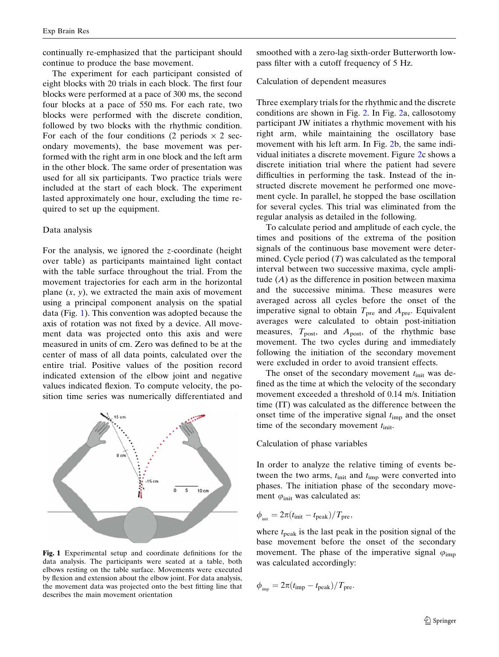continually re-emphasized that the participant should continue to produce the base movement.

The experiment for each participant consisted of eight blocks with 20 trials in each block. The first four blocks were performed at a pace of 300 ms, the second four blocks at a pace of 550 ms. For each rate, two blocks were performed with the discrete condition, followed by two blocks with the rhythmic condition. For each of the four conditions (2 periods  $\times$  2 secondary movements), the base movement was performed with the right arm in one block and the left arm in the other block. The same order of presentation was used for all six participants. Two practice trials were included at the start of each block. The experiment lasted approximately one hour, excluding the time required to set up the equipment.

#### Data analysis

For the analysis, we ignored the  $z$ -coordinate (height over table) as participants maintained light contact with the table surface throughout the trial. From the movement trajectories for each arm in the horizontal plane  $(x, y)$ , we extracted the main axis of movement using a principal component analysis on the spatial data (Fig. 1). This convention was adopted because the axis of rotation was not fixed by a device. All movement data was projected onto this axis and were measured in units of cm. Zero was defined to be at the center of mass of all data points, calculated over the entire trial. Positive values of the position record indicated extension of the elbow joint and negative values indicated flexion. To compute velocity, the position time series was numerically differentiated and



Fig. 1 Experimental setup and coordinate definitions for the data analysis. The participants were seated at a table, both elbows resting on the table surface. Movements were executed by flexion and extension about the elbow joint. For data analysis, the movement data was projected onto the best fitting line that describes the main movement orientation

smoothed with a zero-lag sixth-order Butterworth lowpass filter with a cutoff frequency of 5 Hz.

Calculation of dependent measures

Three exemplary trials for the rhythmic and the discrete conditions are shown in Fig. [2](#page-5-0). In Fig. [2](#page-5-0)a, callosotomy participant JW initiates a rhythmic movement with his right arm, while maintaining the oscillatory base movement with his left arm. In Fig. [2b](#page-5-0), the same individual initiates a discrete movement. Figure [2c](#page-5-0) shows a discrete initiation trial where the patient had severe difficulties in performing the task. Instead of the instructed discrete movement he performed one movement cycle. In parallel, he stopped the base oscillation for several cycles. This trial was eliminated from the regular analysis as detailed in the following.

To calculate period and amplitude of each cycle, the times and positions of the extrema of the position signals of the continuous base movement were determined. Cycle period  $(T)$  was calculated as the temporal interval between two successive maxima, cycle amplitude  $(A)$  as the difference in position between maxima and the successive minima. These measures were averaged across all cycles before the onset of the imperative signal to obtain  $T_{pre}$  and  $A_{pre}$ . Equivalent averages were calculated to obtain post-initiation measures,  $T_{\text{post}}$ , and  $A_{\text{post}}$ , of the rhythmic base movement. The two cycles during and immediately following the initiation of the secondary movement were excluded in order to avoid transient effects.

The onset of the secondary movement  $t_{init}$  was defined as the time at which the velocity of the secondary movement exceeded a threshold of 0.14 m/s. Initiation time (IT) was calculated as the difference between the onset time of the imperative signal  $t_{\text{imp}}$  and the onset time of the secondary movement  $t_{init}$ .

# Calculation of phase variables

In order to analyze the relative timing of events between the two arms,  $t_{\text{init}}$  and  $t_{\text{imp}}$  were converted into phases. The initiation phase of the secondary movement  $\varphi_{\text{init}}$  was calculated as:

$$
\phi_{\rm init} = 2\pi (t_{\rm init} - t_{\rm peak})/T_{\rm pre},
$$

where  $t_{\text{peak}}$  is the last peak in the position signal of the base movement before the onset of the secondary movement. The phase of the imperative signal  $\varphi_{\text{imp}}$ was calculated accordingly:

$$
\phi_{_{\rm imp}}=2\pi(t_{\rm imp}-t_{\rm peak})/T_{\rm pre}.
$$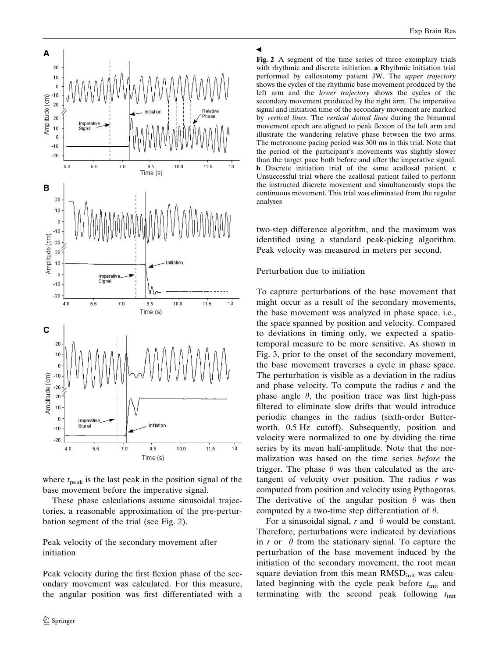<span id="page-5-0"></span>

where  $t_{\text{peak}}$  is the last peak in the position signal of the base movement before the imperative signal.

These phase calculations assume sinusoidal trajectories, a reasonable approximation of the pre-perturbation segment of the trial (see Fig. 2).

Peak velocity of the secondary movement after initiation

Peak velocity during the first flexion phase of the secondary movement was calculated. For this measure, the angular position was first differentiated with a  $\blacktriangleleft$ 

Fig. 2 A segment of the time series of three exemplary trials with rhythmic and discrete initiation. a Rhythmic initiation trial performed by callosotomy patient JW. The upper trajectory shows the cycles of the rhythmic base movement produced by the left arm and the lower trajectory shows the cycles of the secondary movement produced by the right arm. The imperative signal and initiation time of the secondary movement are marked by vertical lines. The vertical dotted lines during the bimanual movement epoch are aligned to peak flexion of the left arm and illustrate the wandering relative phase between the two arms. The metronome pacing period was 300 ms in this trial. Note that the period of the participant's movements was slightly slower than the target pace both before and after the imperative signal. b Discrete initiation trial of the same acallosal patient. c Unsuccessful trial where the acallosal patient failed to perform the instructed discrete movement and simultaneously stops the continuous movement. This trial was eliminated from the regular analyses

two-step difference algorithm, and the maximum was identified using a standard peak-picking algorithm. Peak velocity was measured in meters per second.

## Perturbation due to initiation

To capture perturbations of the base movement that might occur as a result of the secondary movements, the base movement was analyzed in phase space, i.e., the space spanned by position and velocity. Compared to deviations in timing only, we expected a spatiotemporal measure to be more sensitive. As shown in Fig. [3,](#page-6-0) prior to the onset of the secondary movement, the base movement traverses a cycle in phase space. The perturbation is visible as a deviation in the radius and phase velocity. To compute the radius  $r$  and the phase angle  $\theta$ , the position trace was first high-pass filtered to eliminate slow drifts that would introduce periodic changes in the radius (sixth-order Butterworth, 0.5 Hz cutoff). Subsequently, position and velocity were normalized to one by dividing the time series by its mean half-amplitude. Note that the normalization was based on the time series before the trigger. The phase  $\theta$  was then calculated as the arctangent of velocity over position. The radius  $r$  was computed from position and velocity using Pythagoras. The derivative of the angular position  $\dot{\theta}$  was then computed by a two-time step differentiation of  $\theta$ .

For a sinusoidal signal, r and  $\dot{\theta}$  would be constant. Therefore, perturbations were indicated by deviations in r or  $\dot{\theta}$  from the stationary signal. To capture the perturbation of the base movement induced by the initiation of the secondary movement, the root mean square deviation from this mean RMSD<sub>init</sub> was calculated beginning with the cycle peak before  $t_{\text{init}}$  and terminating with the second peak following  $t_{init}$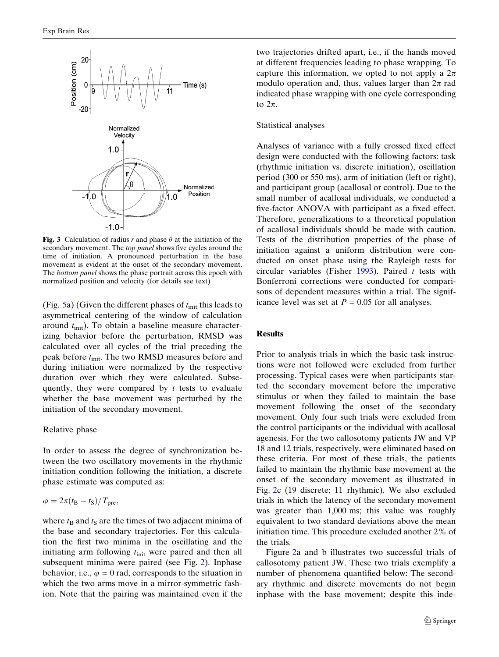<span id="page-6-0"></span>

Fig. 3 Calculation of radius r and phase  $\theta$  at the initiation of the secondary movement. The top panel shows five cycles around the time of initiation. A pronounced perturbation in the base movement is evident at the onset of the secondary movement. The bottom panel shows the phase portrait across this epoch with normalized position and velocity (for details see text)

(Fig. [5a](#page-9-0)) (Given the different phases of  $t_{init}$  this leads to asymmetrical centering of the window of calculation around  $t_{init}$ ). To obtain a baseline measure characterizing behavior before the perturbation, RMSD was calculated over all cycles of the trial preceding the peak before  $t_{\text{init}}$ . The two RMSD measures before and during initiation were normalized by the respective duration over which they were calculated. Subsequently, they were compared by  $t$  tests to evaluate whether the base movement was perturbed by the initiation of the secondary movement.

## Relative phase

In order to assess the degree of synchronization between the two oscillatory movements in the rhythmic initiation condition following the initiation, a discrete phase estimate was computed as:

$$
\varphi = 2\pi (t_{\rm B} - t_{\rm S})/T_{\rm pre},
$$

where  $t_B$  and  $t_S$  are the times of two adjacent minima of the base and secondary trajectories. For this calculation the first two minima in the oscillating and the initiating arm following  $t_{init}$  were paired and then all subsequent minima were paired (see Fig. [2](#page-5-0)). Inphase behavior, i.e.,  $\varphi = 0$  rad, corresponds to the situation in which the two arms move in a mirror-symmetric fashion. Note that the pairing was maintained even if the two trajectories drifted apart, i.e., if the hands moved at different frequencies leading to phase wrapping. To capture this information, we opted to not apply a  $2\pi$ modulo operation and, thus, values larger than  $2\pi$  rad indicated phase wrapping with one cycle corresponding to  $2\pi$ .

## Statistical analyses

Analyses of variance with a fully crossed fixed effect design were conducted with the following factors: task (rhythmic initiation vs. discrete initiation), oscillation period (300 or 550 ms), arm of initiation (left or right), and participant group (acallosal or control). Due to the small number of acallosal individuals, we conducted a five-factor ANOVA with participant as a fixed effect. Therefore, generalizations to a theoretical population of acallosal individuals should be made with caution. Tests of the distribution properties of the phase of initiation against a uniform distribution were conducted on onset phase using the Rayleigh tests for circular variables (Fisher [1993\)](#page-15-0). Paired  $t$  tests with Bonferroni corrections were conducted for comparisons of dependent measures within a trial. The significance level was set at  $P = 0.05$  for all analyses.

## Results

Prior to analysis trials in which the basic task instructions were not followed were excluded from further processing. Typical cases were when participants started the secondary movement before the imperative stimulus or when they failed to maintain the base movement following the onset of the secondary movement. Only four such trials were excluded from the control participants or the individual with acallosal agenesis. For the two callosotomy patients JW and VP 18 and 12 trials, respectively, were eliminated based on these criteria. For most of these trials, the patients failed to maintain the rhythmic base movement at the onset of the secondary movement as illustrated in Fig. [2c](#page-5-0) (19 discrete; 11 rhythmic). We also excluded trials in which the latency of the secondary movement was greater than 1,000 ms; this value was roughly equivalent to two standard deviations above the mean initiation time. This procedure excluded another 2% of the trials.

Figure [2](#page-5-0)a and b illustrates two successful trials of callosotomy patient JW. These two trials exemplify a number of phenomena quantified below: The secondary rhythmic and discrete movements do not begin inphase with the base movement; despite this inde-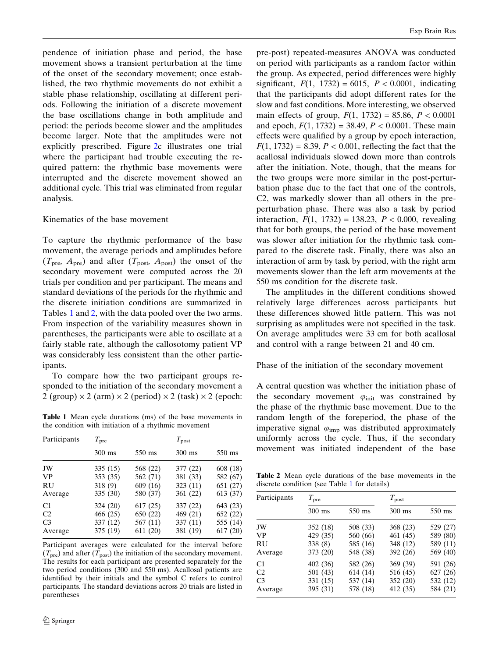pendence of initiation phase and period, the base movement shows a transient perturbation at the time of the onset of the secondary movement; once established, the two rhythmic movements do not exhibit a stable phase relationship, oscillating at different periods. Following the initiation of a discrete movement the base oscillations change in both amplitude and period: the periods become slower and the amplitudes become larger. Note that the amplitudes were not explicitly prescribed. Figure [2c](#page-5-0) illustrates one trial where the participant had trouble executing the required pattern: the rhythmic base movements were interrupted and the discrete movement showed an additional cycle. This trial was eliminated from regular analysis.

## Kinematics of the base movement

To capture the rhythmic performance of the base movement, the average periods and amplitudes before  $(T_{\text{pre}}, A_{\text{pre}})$  and after  $(T_{\text{post}}, A_{\text{post}})$  the onset of the secondary movement were computed across the 20 trials per condition and per participant. The means and standard deviations of the periods for the rhythmic and the discrete initiation conditions are summarized in Tables 1 and 2, with the data pooled over the two arms. From inspection of the variability measures shown in parentheses, the participants were able to oscillate at a fairly stable rate, although the callosotomy patient VP was considerably less consistent than the other participants.

To compare how the two participant groups responded to the initiation of the secondary movement a 2 (group)  $\times$  2 (arm)  $\times$  2 (period)  $\times$  2 (task)  $\times$  2 (epoch:

Table 1 Mean cycle durations (ms) of the base movements in the condition with initiation of a rhythmic movement

| Participants   | $T_{\rm pre}$ |            | $T_{\text{post}}$ |          |
|----------------|---------------|------------|-------------------|----------|
|                | $300$ ms      | 550 ms     | $300$ ms          | 550 ms   |
| JW             | 335(15)       | 568 (22)   | 377 (22)          | 608 (18) |
| <b>VP</b>      | 353(35)       | 562 (71)   | 381 (33)          | 582 (67) |
| <b>RU</b>      | 318(9)        | 609 (16)   | 323(11)           | 651 (27) |
| Average        | 335 (30)      | 580 (37)   | 361(22)           | 613 (37) |
| C <sub>1</sub> | 324 (20)      | 617(25)    | 337 (22)          | 643 (23) |
| C2             | 466 (25)      | 650 (22)   | 469(21)           | 652 (22) |
| C <sub>3</sub> | 337(12)       | 567 $(11)$ | 337(11)           | 555 (14) |
| Average        | 375 (19)      | 611(20)    | 381 (19)          | 617(20)  |

Participant averages were calculated for the interval before  $(T_{pre})$  and after  $(T_{post})$  the initiation of the secondary movement. The results for each participant are presented separately for the two period conditions (300 and 550 ms). Acallosal patients are identified by their initials and the symbol C refers to control participants. The standard deviations across 20 trials are listed in parentheses

pre-post) repeated-measures ANOVA was conducted on period with participants as a random factor within the group. As expected, period differences were highly significant,  $F(1, 1732) = 6015$ ,  $P < 0.0001$ , indicating that the participants did adopt different rates for the slow and fast conditions. More interesting, we observed main effects of group,  $F(1, 1732) = 85.86$ ,  $P < 0.0001$ and epoch,  $F(1, 1732) = 38.49$ ,  $P < 0.0001$ . These main effects were qualified by a group by epoch interaction,  $F(1, 1732) = 8.39, P < 0.001$ , reflecting the fact that the acallosal individuals slowed down more than controls after the initiation. Note, though, that the means for the two groups were more similar in the post-perturbation phase due to the fact that one of the controls, C2, was markedly slower than all others in the preperturbation phase. There was also a task by period interaction,  $F(1, 1732) = 138.23$ ,  $P < 0.000$ , revealing that for both groups, the period of the base movement was slower after initiation for the rhythmic task compared to the discrete task. Finally, there was also an interaction of arm by task by period, with the right arm movements slower than the left arm movements at the 550 ms condition for the discrete task.

The amplitudes in the different conditions showed relatively large differences across participants but these differences showed little pattern. This was not surprising as amplitudes were not specified in the task. On average amplitudes were 33 cm for both acallosal and control with a range between 21 and 40 cm.

Phase of the initiation of the secondary movement

A central question was whether the initiation phase of the secondary movement  $\varphi_{init}$  was constrained by the phase of the rhythmic base movement. Due to the random length of the foreperiod, the phase of the imperative signal  $\varphi_{\text{imp}}$  was distributed approximately uniformly across the cycle. Thus, if the secondary movement was initiated independent of the base

Table 2 Mean cycle durations of the base movements in the discrete condition (see Table 1 for details)

| Participants   | $T_{\rm pre}$ |          | $T_{\text{post}}$ |          |
|----------------|---------------|----------|-------------------|----------|
|                | $300$ ms      | 550 ms   | $300$ ms          | 550 ms   |
| JW             | 352 (18)      | 508 (33) | 368 (23)          | 529 (27) |
| <b>VP</b>      | 429 (35)      | 560 (66) | 461 (45)          | 589 (80) |
| <b>RU</b>      | 338(8)        | 585 (16) | 348 (12)          | 589 (11) |
| Average        | 373 (20)      | 548 (38) | 392 (26)          | 569 (40) |
| C1             | 402(36)       | 582 (26) | 369 (39)          | 591 (26) |
| C <sub>2</sub> | 501(43)       | 614(14)  | 516 (45)          | 627(26)  |
| C <sub>3</sub> | 331(15)       | 537 (14) | 352 (20)          | 532 (12) |
| Average        | 395 (31)      | 578 (18) | 412 (35)          | 584 (21) |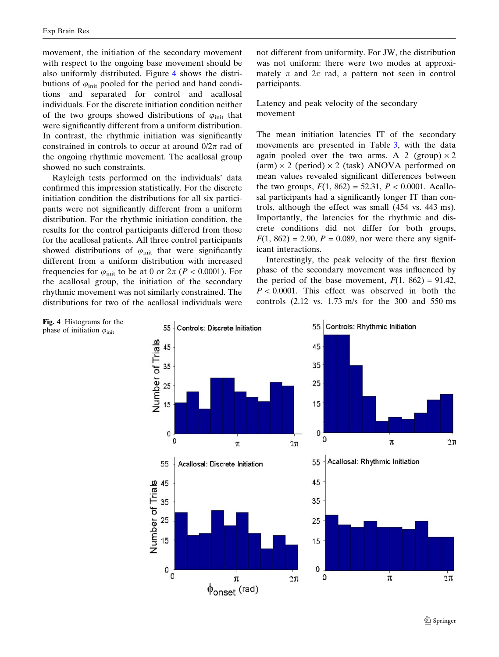movement, the initiation of the secondary movement with respect to the ongoing base movement should be also uniformly distributed. Figure 4 shows the distributions of  $\varphi_{\text{init}}$  pooled for the period and hand conditions and separated for control and acallosal individuals. For the discrete initiation condition neither of the two groups showed distributions of  $\varphi_{init}$  that were significantly different from a uniform distribution. In contrast, the rhythmic initiation was significantly constrained in controls to occur at around  $0/2\pi$  rad of the ongoing rhythmic movement. The acallosal group showed no such constraints.

Rayleigh tests performed on the individuals' data confirmed this impression statistically. For the discrete initiation condition the distributions for all six participants were not significantly different from a uniform distribution. For the rhythmic initiation condition, the results for the control participants differed from those for the acallosal patients. All three control participants showed distributions of  $\varphi$ <sub>init</sub> that were significantly different from a uniform distribution with increased frequencies for  $\varphi_{init}$  to be at 0 or  $2\pi$  (P < 0.0001). For the acallosal group, the initiation of the secondary rhythmic movement was not similarly constrained. The distributions for two of the acallosal individuals were

not different from uniformity. For JW, the distribution was not uniform: there were two modes at approximately  $\pi$  and  $2\pi$  rad, a pattern not seen in control participants.

Latency and peak velocity of the secondary movement

The mean initiation latencies IT of the secondary movements are presented in Table [3,](#page-9-0) with the data again pooled over the two arms. A 2 (group)  $\times$  2 (arm)  $\times$  2 (period)  $\times$  2 (task) ANOVA performed on mean values revealed significant differences between the two groups,  $F(1, 862) = 52.31, P < 0.0001$ . Acallosal participants had a significantly longer IT than controls, although the effect was small (454 vs. 443 ms). Importantly, the latencies for the rhythmic and discrete conditions did not differ for both groups,  $F(1, 862) = 2.90, P = 0.089$ , nor were there any significant interactions.

Interestingly, the peak velocity of the first flexion phase of the secondary movement was influenced by the period of the base movement,  $F(1, 862) = 91.42$ ,  $P < 0.0001$ . This effect was observed in both the controls (2.12 vs. 1.73 m/s for the 300 and 550 ms

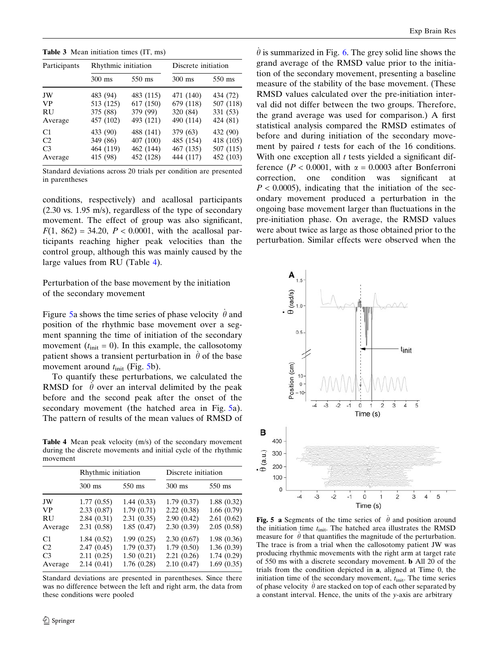<span id="page-9-0"></span>Table 3 Mean initiation times (IT, ms)

| Participants   | Rhythmic initiation |           | Discrete initiation |           |
|----------------|---------------------|-----------|---------------------|-----------|
|                | $300$ ms            | 550 ms    | $300$ ms            | 550 ms    |
| JW             | 483 (94)            | 483 (115) | 471 (140)           | 434 (72)  |
| <b>VP</b>      | 513 (125)           | 617 (150) | 679 (118)           | 507 (118) |
| <b>RU</b>      | 375 (88)            | 379 (99)  | 320 (84)            | 331 (53)  |
| Average        | 457 (102)           | 493 (121) | 490 (114)           | 424 (81)  |
| C1             | 433 (90)            | 488 (141) | 379 (63)            | 432 (90)  |
| C <sub>2</sub> | 349 (86)            | 407 (100) | 485 (154)           | 418 (105) |
| C <sub>3</sub> | 464 (119)           | 462 (144) | 467 (135)           | 507 (115) |
| Average        | 415 (98)            | 452 (128) | 444 (117)           | 452 (103) |

Standard deviations across 20 trials per condition are presented in parentheses

conditions, respectively) and acallosal participants (2.30 vs. 1.95 m/s), regardless of the type of secondary movement. The effect of group was also significant,  $F(1, 862) = 34.20, P < 0.0001$ , with the acallosal participants reaching higher peak velocities than the control group, although this was mainly caused by the large values from RU (Table 4).

Perturbation of the base movement by the initiation of the secondary movement

Figure 5a shows the time series of phase velocity  $\dot{\theta}$  and position of the rhythmic base movement over a segment spanning the time of initiation of the secondary movement ( $t_{\text{init}} = 0$ ). In this example, the callosotomy patient shows a transient perturbation in  $\dot{\theta}$  of the base movement around  $t_{init}$  (Fig. 5b).

To quantify these perturbations, we calculated the RMSD for  $\dot{\theta}$  over an interval delimited by the peak before and the second peak after the onset of the secondary movement (the hatched area in Fig. 5a). The pattern of results of the mean values of RMSD of

Table 4 Mean peak velocity (m/s) of the secondary movement during the discrete movements and initial cycle of the rhythmic movement

|         | Rhythmic initiation |            | Discrete initiation |            |
|---------|---------------------|------------|---------------------|------------|
|         | $300$ ms            | 550 ms     | $300$ ms            | 550 ms     |
| JW      | 1.77(0.55)          | 1.44(0.33) | 1.79(0.37)          | 1.88(0.32) |
| VP      | 2.33(0.87)          | 1.79(0.71) | 2.22(0.38)          | 1.66(0.79) |
| RU      | 2.84(0.31)          | 2.31(0.35) | 2.90(0.42)          | 2.61(0.62) |
| Average | 2.31(0.58)          | 1.85(0.47) | 2.30(0.39)          | 2.05(0.58) |
| C1      | 1.84(0.52)          | 1.99(0.25) | 2.30(0.67)          | 1.98(0.36) |
| C2      | 2.47(0.45)          | 1.79(0.37) | 1.79(0.50)          | 1.36(0.39) |
| C3      | 2.11(0.25)          | 1.50(0.21) | 2.21(0.26)          | 1.74(0.29) |
| Average | 2.14(0.41)          | 1.76(0.28) | 2.10(0.47)          | 1.69(0.35) |

Standard deviations are presented in parentheses. Since there was no difference between the left and right arm, the data from these conditions were pooled

 $\dot{\theta}$  is summarized in Fig. [6.](#page-10-0) The grey solid line shows the grand average of the RMSD value prior to the initiation of the secondary movement, presenting a baseline measure of the stability of the base movement. (These RMSD values calculated over the pre-initiation interval did not differ between the two groups. Therefore, the grand average was used for comparison.) A first statistical analysis compared the RMSD estimates of before and during initiation of the secondary movement by paired  $t$  tests for each of the 16 conditions. With one exception all  $t$  tests yielded a significant difference ( $P < 0.0001$ , with  $\alpha = 0.0003$  after Bonferroni correction, one condition was significant at  $P < 0.0005$ ), indicating that the initiation of the secondary movement produced a perturbation in the ongoing base movement larger than fluctuations in the pre-initiation phase. On average, the RMSD values were about twice as large as those obtained prior to the perturbation. Similar effects were observed when the



Fig. 5 a Segments of the time series of  $\dot{\theta}$  and position around the initiation time  $t_{\text{init}}$ . The hatched area illustrates the RMSD measure for  $\dot{\theta}$  that quantifies the magnitude of the perturbation. The trace is from a trial when the callosotomy patient JW was producing rhythmic movements with the right arm at target rate of 550 ms with a discrete secondary movement. b All 20 of the trials from the condition depicted in a, aligned at Time 0, the initiation time of the secondary movement,  $t_{\text{init}}$ . The time series of phase velocity  $\dot{\theta}$  are stacked on top of each other separated by a constant interval. Hence, the units of the y-axis are arbitrary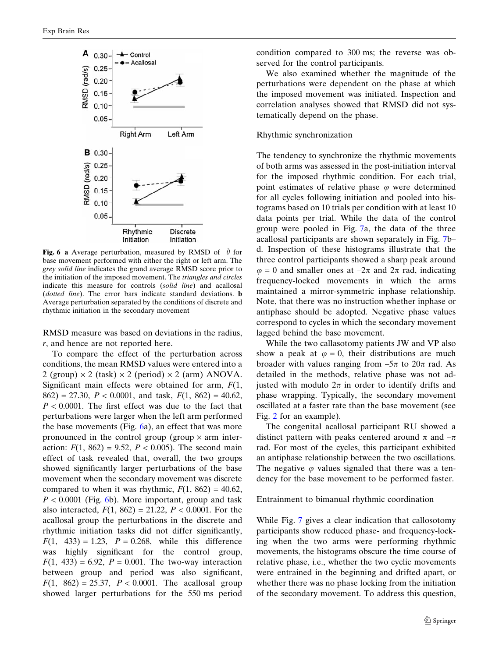<span id="page-10-0"></span>

Fig. 6 a Average perturbation, measured by RMSD of  $\dot{\theta}$  for base movement performed with either the right or left arm. The grey solid line indicates the grand average RMSD score prior to the initiation of the imposed movement. The triangles and circles indicate this measure for controls (solid line) and acallosal (dotted line). The error bars indicate standard deviations. **b** Average perturbation separated by the conditions of discrete and rhythmic initiation in the secondary movement

RMSD measure was based on deviations in the radius, r, and hence are not reported here.

To compare the effect of the perturbation across conditions, the mean RMSD values were entered into a 2 (group)  $\times$  2 (task)  $\times$  2 (period)  $\times$  2 (arm) ANOVA. Significant main effects were obtained for arm,  $F(1,$  $862$ ) = 27.30,  $P < 0.0001$ , and task,  $F(1, 862) = 40.62$ ,  $P < 0.0001$ . The first effect was due to the fact that perturbations were larger when the left arm performed the base movements (Fig. 6a), an effect that was more pronounced in the control group (group  $\times$  arm interaction:  $F(1, 862) = 9.52$ ,  $P < 0.005$ ). The second main effect of task revealed that, overall, the two groups showed significantly larger perturbations of the base movement when the secondary movement was discrete compared to when it was rhythmic,  $F(1, 862) = 40.62$ ,  $P < 0.0001$  (Fig. 6b). More important, group and task also interacted,  $F(1, 862) = 21.22$ ,  $P < 0.0001$ . For the acallosal group the perturbations in the discrete and rhythmic initiation tasks did not differ significantly,  $F(1, 433) = 1.23, P = 0.268$ , while this difference was highly significant for the control group,  $F(1, 433) = 6.92, P = 0.001$ . The two-way interaction between group and period was also significant,  $F(1, 862) = 25.37, P < 0.0001$ . The acallosal group showed larger perturbations for the 550 ms period condition compared to 300 ms; the reverse was observed for the control participants.

We also examined whether the magnitude of the perturbations were dependent on the phase at which the imposed movement was initiated. Inspection and correlation analyses showed that RMSD did not systematically depend on the phase.

#### Rhythmic synchronization

The tendency to synchronize the rhythmic movements of both arms was assessed in the post-initiation interval for the imposed rhythmic condition. For each trial, point estimates of relative phase  $\varphi$  were determined for all cycles following initiation and pooled into histograms based on 10 trials per condition with at least 10 data points per trial. While the data of the control group were pooled in Fig. [7a](#page-11-0), the data of the three acallosal participants are shown separately in Fig. [7b](#page-11-0)– d. Inspection of these histograms illustrate that the three control participants showed a sharp peak around  $\varphi = 0$  and smaller ones at  $-2\pi$  and  $2\pi$  rad, indicating frequency-locked movements in which the arms maintained a mirror-symmetric inphase relationship. Note, that there was no instruction whether inphase or antiphase should be adopted. Negative phase values correspond to cycles in which the secondary movement lagged behind the base movement.

While the two callasotomy patients JW and VP also show a peak at  $\varphi = 0$ , their distributions are much broader with values ranging from  $-5\pi$  to  $20\pi$  rad. As detailed in the methods, relative phase was not adjusted with modulo  $2\pi$  in order to identify drifts and phase wrapping. Typically, the secondary movement oscillated at a faster rate than the base movement (see Fig. [2](#page-5-0) for an example).

The congenital acallosal participant RU showed a distinct pattern with peaks centered around  $\pi$  and  $-\pi$ rad. For most of the cycles, this participant exhibited an antiphase relationship between the two oscillations. The negative  $\varphi$  values signaled that there was a tendency for the base movement to be performed faster.

#### Entrainment to bimanual rhythmic coordination

While Fig. [7](#page-11-0) gives a clear indication that callosotomy participants show reduced phase- and frequency-locking when the two arms were performing rhythmic movements, the histograms obscure the time course of relative phase, i.e., whether the two cyclic movements were entrained in the beginning and drifted apart, or whether there was no phase locking from the initiation of the secondary movement. To address this question,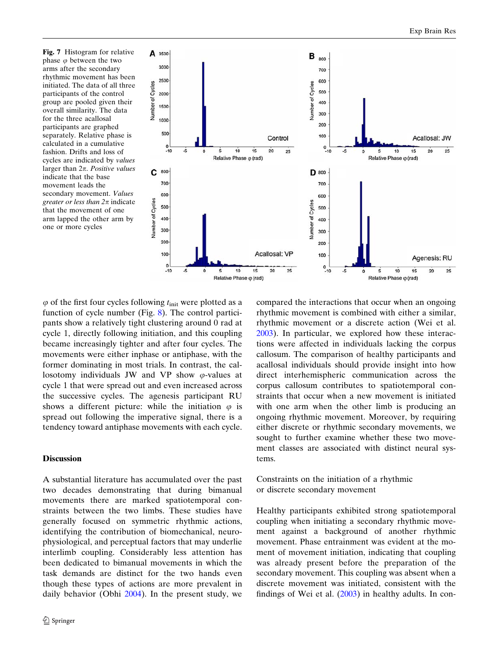<span id="page-11-0"></span>Fig. 7 Histogram for relative phase  $\varphi$  between the two arms after the secondary rhythmic movement has been initiated. The data of all three participants of the control group are pooled given their overall similarity. The data for the three acallosal participants are graphed separately. Relative phase is calculated in a cumulative fashion. Drifts and loss of cycles are indicated by values larger than  $2\pi$ . Positive values indicate that the base movement leads the secondary movement. Values greater or less than  $2\pi$  indicate that the movement of one arm lapped the other arm by one or more cycles



 $\varphi$  of the first four cycles following  $t_{\text{init}}$  were plotted as a function of cycle number (Fig. [8](#page-12-0)). The control participants show a relatively tight clustering around 0 rad at cycle 1, directly following initiation, and this coupling became increasingly tighter and after four cycles. The movements were either inphase or antiphase, with the former dominating in most trials. In contrast, the callosotomy individuals JW and VP show  $\varphi$ -values at cycle 1 that were spread out and even increased across the successive cycles. The agenesis participant RU shows a different picture: while the initiation  $\varphi$  is spread out following the imperative signal, there is a tendency toward antiphase movements with each cycle.

## **Discussion**

A substantial literature has accumulated over the past two decades demonstrating that during bimanual movements there are marked spatiotemporal constraints between the two limbs. These studies have generally focused on symmetric rhythmic actions, identifying the contribution of biomechanical, neurophysiological, and perceptual factors that may underlie interlimb coupling. Considerably less attention has been dedicated to bimanual movements in which the task demands are distinct for the two hands even though these types of actions are more prevalent in daily behavior (Obhi [2004\)](#page-15-0). In the present study, we compared the interactions that occur when an ongoing rhythmic movement is combined with either a similar, rhythmic movement or a discrete action (Wei et al. [2003](#page-15-0)). In particular, we explored how these interactions were affected in individuals lacking the corpus callosum. The comparison of healthy participants and acallosal individuals should provide insight into how direct interhemispheric communication across the corpus callosum contributes to spatiotemporal constraints that occur when a new movement is initiated with one arm when the other limb is producing an ongoing rhythmic movement. Moreover, by requiring either discrete or rhythmic secondary movements, we sought to further examine whether these two movement classes are associated with distinct neural systems.

Constraints on the initiation of a rhythmic or discrete secondary movement

Healthy participants exhibited strong spatiotemporal coupling when initiating a secondary rhythmic movement against a background of another rhythmic movement. Phase entrainment was evident at the moment of movement initiation, indicating that coupling was already present before the preparation of the secondary movement. This coupling was absent when a discrete movement was initiated, consistent with the findings of Wei et al. [\(2003](#page-15-0)) in healthy adults. In con-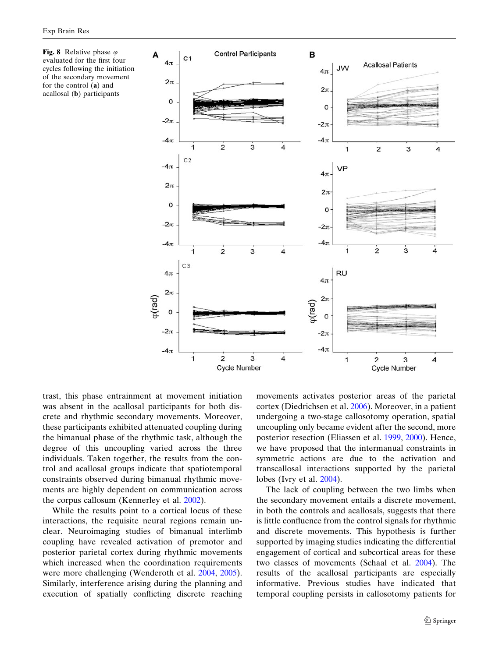<span id="page-12-0"></span>Fig. 8 Relative phase  $\varphi$ evaluated for the first four cycles following the initiation of the secondary movement for the control (a) and acallosal (b) participants



trast, this phase entrainment at movement initiation was absent in the acallosal participants for both discrete and rhythmic secondary movements. Moreover, these participants exhibited attenuated coupling during the bimanual phase of the rhythmic task, although the degree of this uncoupling varied across the three individuals. Taken together, the results from the control and acallosal groups indicate that spatiotemporal constraints observed during bimanual rhythmic movements are highly dependent on communication across the corpus callosum (Kennerley et al. [2002\)](#page-15-0).

While the results point to a cortical locus of these interactions, the requisite neural regions remain unclear. Neuroimaging studies of bimanual interlimb coupling have revealed activation of premotor and posterior parietal cortex during rhythmic movements which increased when the coordination requirements were more challenging (Wenderoth et al. [2004,](#page-15-0) [2005\)](#page-15-0). Similarly, interference arising during the planning and execution of spatially conflicting discrete reaching movements activates posterior areas of the parietal cortex (Diedrichsen et al. [2006](#page-14-0)). Moreover, in a patient undergoing a two-stage callosotomy operation, spatial uncoupling only became evident after the second, more posterior resection (Eliassen et al. [1999](#page-15-0), [2000](#page-15-0)). Hence, we have proposed that the intermanual constraints in symmetric actions are due to the activation and transcallosal interactions supported by the parietal lobes (Ivry et al. [2004](#page-15-0)).

The lack of coupling between the two limbs when the secondary movement entails a discrete movement, in both the controls and acallosals, suggests that there is little confluence from the control signals for rhythmic and discrete movements. This hypothesis is further supported by imaging studies indicating the differential engagement of cortical and subcortical areas for these two classes of movements (Schaal et al. [2004\)](#page-15-0). The results of the acallosal participants are especially informative. Previous studies have indicated that temporal coupling persists in callosotomy patients for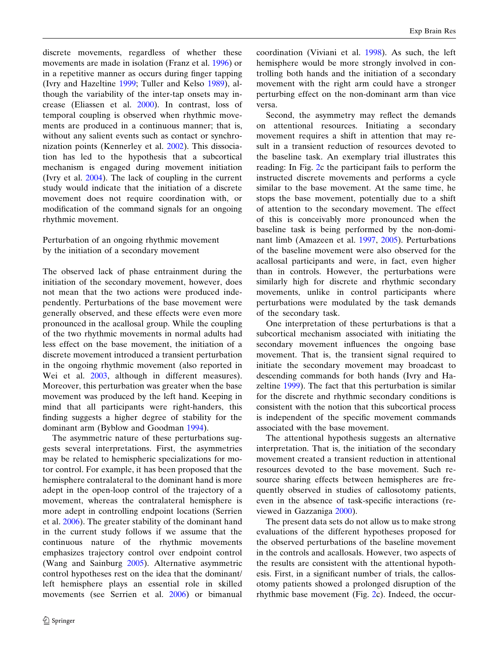discrete movements, regardless of whether these movements are made in isolation (Franz et al. [1996](#page-15-0)) or in a repetitive manner as occurs during finger tapping (Ivry and Hazeltine [1999](#page-15-0); Tuller and Kelso [1989\)](#page-15-0), although the variability of the inter-tap onsets may increase (Eliassen et al. [2000\)](#page-15-0). In contrast, loss of temporal coupling is observed when rhythmic movements are produced in a continuous manner; that is, without any salient events such as contact or synchronization points (Kennerley et al. [2002](#page-15-0)). This dissociation has led to the hypothesis that a subcortical mechanism is engaged during movement initiation (Ivry et al. [2004](#page-15-0)). The lack of coupling in the current study would indicate that the initiation of a discrete movement does not require coordination with, or modification of the command signals for an ongoing rhythmic movement.

# Perturbation of an ongoing rhythmic movement by the initiation of a secondary movement

The observed lack of phase entrainment during the initiation of the secondary movement, however, does not mean that the two actions were produced independently. Perturbations of the base movement were generally observed, and these effects were even more pronounced in the acallosal group. While the coupling of the two rhythmic movements in normal adults had less effect on the base movement, the initiation of a discrete movement introduced a transient perturbation in the ongoing rhythmic movement (also reported in Wei et al. [2003](#page-15-0), although in different measures). Moreover, this perturbation was greater when the base movement was produced by the left hand. Keeping in mind that all participants were right-handers, this finding suggests a higher degree of stability for the dominant arm (Byblow and Goodman [1994\)](#page-14-0).

The asymmetric nature of these perturbations suggests several interpretations. First, the asymmetries may be related to hemispheric specializations for motor control. For example, it has been proposed that the hemisphere contralateral to the dominant hand is more adept in the open-loop control of the trajectory of a movement, whereas the contralateral hemisphere is more adept in controlling endpoint locations (Serrien et al. [2006](#page-15-0)). The greater stability of the dominant hand in the current study follows if we assume that the continuous nature of the rhythmic movements emphasizes trajectory control over endpoint control (Wang and Sainburg [2005\)](#page-15-0). Alternative asymmetric control hypotheses rest on the idea that the dominant/ left hemisphere plays an essential role in skilled movements (see Serrien et al. [2006](#page-15-0)) or bimanual coordination (Viviani et al. [1998\)](#page-15-0). As such, the left hemisphere would be more strongly involved in controlling both hands and the initiation of a secondary movement with the right arm could have a stronger perturbing effect on the non-dominant arm than vice versa.

Second, the asymmetry may reflect the demands on attentional resources. Initiating a secondary movement requires a shift in attention that may result in a transient reduction of resources devoted to the baseline task. An exemplary trial illustrates this reading: In Fig. [2](#page-5-0)c the participant fails to perform the instructed discrete movements and performs a cycle similar to the base movement. At the same time, he stops the base movement, potentially due to a shift of attention to the secondary movement. The effect of this is conceivably more pronounced when the baseline task is being performed by the non-dominant limb (Amazeen et al. [1997](#page-14-0), [2005\)](#page-14-0). Perturbations of the baseline movement were also observed for the acallosal participants and were, in fact, even higher than in controls. However, the perturbations were similarly high for discrete and rhythmic secondary movements, unlike in control participants where perturbations were modulated by the task demands of the secondary task.

One interpretation of these perturbations is that a subcortical mechanism associated with initiating the secondary movement influences the ongoing base movement. That is, the transient signal required to initiate the secondary movement may broadcast to descending commands for both hands (Ivry and Hazeltine [1999](#page-15-0)). The fact that this perturbation is similar for the discrete and rhythmic secondary conditions is consistent with the notion that this subcortical process is independent of the specific movement commands associated with the base movement.

The attentional hypothesis suggests an alternative interpretation. That is, the initiation of the secondary movement created a transient reduction in attentional resources devoted to the base movement. Such resource sharing effects between hemispheres are frequently observed in studies of callosotomy patients, even in the absence of task-specific interactions (reviewed in Gazzaniga [2000](#page-15-0)).

The present data sets do not allow us to make strong evaluations of the different hypotheses proposed for the observed perturbations of the baseline movement in the controls and acallosals. However, two aspects of the results are consistent with the attentional hypothesis. First, in a significant number of trials, the callosotomy patients showed a prolonged disruption of the rhythmic base movement (Fig. [2](#page-5-0)c). Indeed, the occur-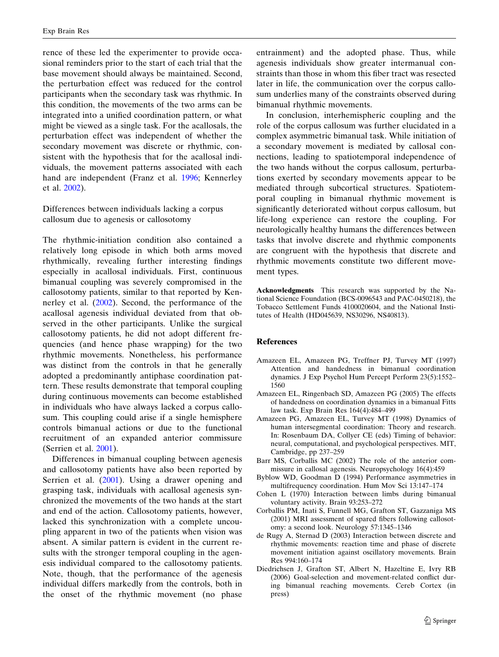<span id="page-14-0"></span>rence of these led the experimenter to provide occasional reminders prior to the start of each trial that the base movement should always be maintained. Second, the perturbation effect was reduced for the control participants when the secondary task was rhythmic. In this condition, the movements of the two arms can be integrated into a unified coordination pattern, or what might be viewed as a single task. For the acallosals, the perturbation effect was independent of whether the secondary movement was discrete or rhythmic, consistent with the hypothesis that for the acallosal individuals, the movement patterns associated with each hand are independent (Franz et al. [1996](#page-15-0); Kennerley et al. [2002](#page-15-0)).

Differences between individuals lacking a corpus callosum due to agenesis or callosotomy

The rhythmic-initiation condition also contained a relatively long episode in which both arms moved rhythmically, revealing further interesting findings especially in acallosal individuals. First, continuous bimanual coupling was severely compromised in the callosotomy patients, similar to that reported by Kennerley et al. [\(2002](#page-15-0)). Second, the performance of the acallosal agenesis individual deviated from that observed in the other participants. Unlike the surgical callosotomy patients, he did not adopt different frequencies (and hence phase wrapping) for the two rhythmic movements. Nonetheless, his performance was distinct from the controls in that he generally adopted a predominantly antiphase coordination pattern. These results demonstrate that temporal coupling during continuous movements can become established in individuals who have always lacked a corpus callosum. This coupling could arise if a single hemisphere controls bimanual actions or due to the functional recruitment of an expanded anterior commissure (Serrien et al. [2001\)](#page-15-0).

Differences in bimanual coupling between agenesis and callosotomy patients have also been reported by Serrien et al. [\(2001](#page-15-0)). Using a drawer opening and grasping task, individuals with acallosal agenesis synchronized the movements of the two hands at the start and end of the action. Callosotomy patients, however, lacked this synchronization with a complete uncoupling apparent in two of the patients when vision was absent. A similar pattern is evident in the current results with the stronger temporal coupling in the agenesis individual compared to the callosotomy patients. Note, though, that the performance of the agenesis individual differs markedly from the controls, both in the onset of the rhythmic movement (no phase

entrainment) and the adopted phase. Thus, while agenesis individuals show greater intermanual constraints than those in whom this fiber tract was resected later in life, the communication over the corpus callosum underlies many of the constraints observed during bimanual rhythmic movements.

In conclusion, interhemispheric coupling and the role of the corpus callosum was further elucidated in a complex asymmetric bimanual task. While initiation of a secondary movement is mediated by callosal connections, leading to spatiotemporal independence of the two hands without the corpus callosum, perturbations exerted by secondary movements appear to be mediated through subcortical structures. Spatiotemporal coupling in bimanual rhythmic movement is significantly deteriorated without corpus callosum, but life-long experience can restore the coupling. For neurologically healthy humans the differences between tasks that involve discrete and rhythmic components are congruent with the hypothesis that discrete and rhythmic movements constitute two different movement types.

Acknowledgments This research was supported by the National Science Foundation (BCS-0096543 and PAC-0450218), the Tobacco Settlement Funds 4100020604, and the National Institutes of Health (HD045639, NS30296, NS40813).

#### References

- Amazeen EL, Amazeen PG, Treffner PJ, Turvey MT (1997) Attention and handedness in bimanual coordination dynamics. J Exp Psychol Hum Percept Perform 23(5):1552– 1560
- Amazeen EL, Ringenbach SD, Amazeen PG (2005) The effects of handedness on coordination dynamics in a bimanual Fitts law task. Exp Brain Res 164(4):484–499
- Amazeen PG, Amazeen EL, Turvey MT (1998) Dynamics of human intersegmental coordination: Theory and research. In: Rosenbaum DA, Collyer CE (eds) Timing of behavior: neural, computational, and psychological perspectives. MIT, Cambridge, pp 237–259
- Barr MS, Corballis MC (2002) The role of the anterior commissure in callosal agenesis. Neuropsychology 16(4):459
- Byblow WD, Goodman D (1994) Performance asymmetries in multifrequency coordination. Hum Mov Sci 13:147–174
- Cohen L (1970) Interaction between limbs during bimanual voluntary activity. Brain 93:253–272
- Corballis PM, Inati S, Funnell MG, Grafton ST, Gazzaniga MS (2001) MRI assessment of spared fibers following callosotomy: a second look. Neurology 57:1345–1346
- de Rugy A, Sternad D (2003) Interaction between discrete and rhythmic movements: reaction time and phase of discrete movement initiation against oscillatory movements. Brain Res 994:160–174
- Diedrichsen J, Grafton ST, Albert N, Hazeltine E, Ivry RB (2006) Goal-selection and movement-related conflict during bimanual reaching movements. Cereb Cortex (in press)